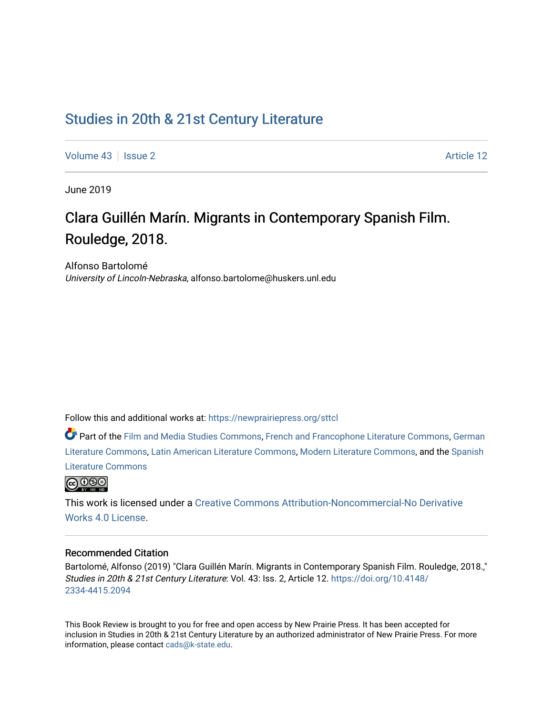## [Studies in 20th & 21st Century Literature](https://newprairiepress.org/sttcl)

[Volume 43](https://newprairiepress.org/sttcl/vol43) | [Issue 2](https://newprairiepress.org/sttcl/vol43/iss2) Article 12

June 2019

# Clara Guillén Marín. Migrants in Contemporary Spanish Film. Rouledge, 2018.

Alfonso Bartolomé University of Lincoln-Nebraska, alfonso.bartolome@huskers.unl.edu

Follow this and additional works at: [https://newprairiepress.org/sttcl](https://newprairiepress.org/sttcl?utm_source=newprairiepress.org%2Fsttcl%2Fvol43%2Fiss2%2F12&utm_medium=PDF&utm_campaign=PDFCoverPages) 

Part of the [Film and Media Studies Commons,](http://network.bepress.com/hgg/discipline/563?utm_source=newprairiepress.org%2Fsttcl%2Fvol43%2Fiss2%2F12&utm_medium=PDF&utm_campaign=PDFCoverPages) [French and Francophone Literature Commons,](http://network.bepress.com/hgg/discipline/465?utm_source=newprairiepress.org%2Fsttcl%2Fvol43%2Fiss2%2F12&utm_medium=PDF&utm_campaign=PDFCoverPages) [German](http://network.bepress.com/hgg/discipline/469?utm_source=newprairiepress.org%2Fsttcl%2Fvol43%2Fiss2%2F12&utm_medium=PDF&utm_campaign=PDFCoverPages) [Literature Commons,](http://network.bepress.com/hgg/discipline/469?utm_source=newprairiepress.org%2Fsttcl%2Fvol43%2Fiss2%2F12&utm_medium=PDF&utm_campaign=PDFCoverPages) [Latin American Literature Commons,](http://network.bepress.com/hgg/discipline/547?utm_source=newprairiepress.org%2Fsttcl%2Fvol43%2Fiss2%2F12&utm_medium=PDF&utm_campaign=PDFCoverPages) [Modern Literature Commons](http://network.bepress.com/hgg/discipline/1050?utm_source=newprairiepress.org%2Fsttcl%2Fvol43%2Fiss2%2F12&utm_medium=PDF&utm_campaign=PDFCoverPages), and the [Spanish](http://network.bepress.com/hgg/discipline/550?utm_source=newprairiepress.org%2Fsttcl%2Fvol43%2Fiss2%2F12&utm_medium=PDF&utm_campaign=PDFCoverPages)  [Literature Commons](http://network.bepress.com/hgg/discipline/550?utm_source=newprairiepress.org%2Fsttcl%2Fvol43%2Fiss2%2F12&utm_medium=PDF&utm_campaign=PDFCoverPages) 



This work is licensed under a [Creative Commons Attribution-Noncommercial-No Derivative](https://creativecommons.org/licenses/by-nc-nd/4.0/)  [Works 4.0 License](https://creativecommons.org/licenses/by-nc-nd/4.0/).

#### Recommended Citation

Bartolomé, Alfonso (2019) "Clara Guillén Marín. Migrants in Contemporary Spanish Film. Rouledge, 2018.," Studies in 20th & 21st Century Literature: Vol. 43: Iss. 2, Article 12. [https://doi.org/10.4148/](https://doi.org/10.4148/2334-4415.2094) [2334-4415.2094](https://doi.org/10.4148/2334-4415.2094) 

This Book Review is brought to you for free and open access by New Prairie Press. It has been accepted for inclusion in Studies in 20th & 21st Century Literature by an authorized administrator of New Prairie Press. For more information, please contact [cads@k-state.edu](mailto:cads@k-state.edu).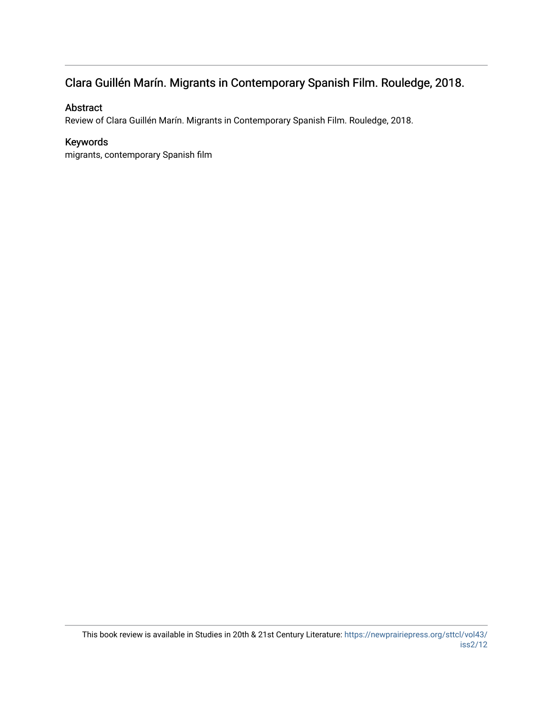### Clara Guillén Marín. Migrants in Contemporary Spanish Film. Rouledge, 2018.

### Abstract

Review of Clara Guillén Marín. Migrants in Contemporary Spanish Film. Rouledge, 2018.

### Keywords

migrants, contemporary Spanish film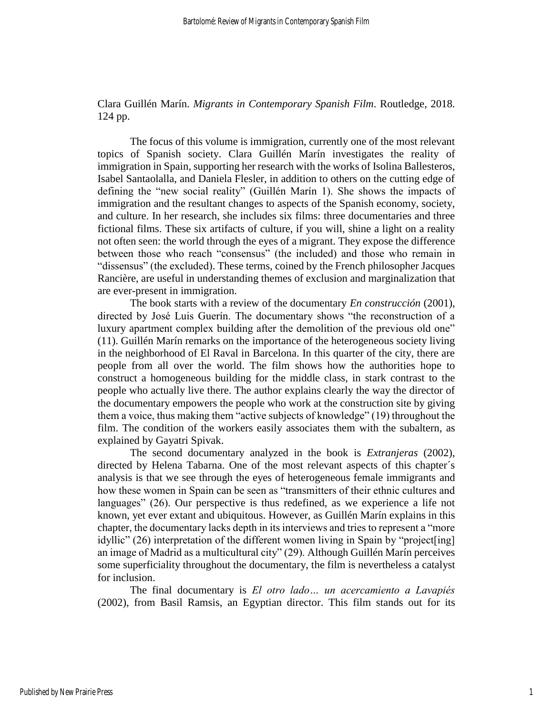Clara Guillén Marín. *Migrants in Contemporary Spanish Film*. Routledge, 2018. 124 pp.

The focus of this volume is immigration, currently one of the most relevant topics of Spanish society. Clara Guillén Marín investigates the reality of immigration in Spain, supporting her research with the works of Isolina Ballesteros, Isabel Santaolalla, and Daniela Flesler, in addition to others on the cutting edge of defining the "new social reality" (Guillén Marín 1). She shows the impacts of immigration and the resultant changes to aspects of the Spanish economy, society, and culture. In her research, she includes six films: three documentaries and three fictional films. These six artifacts of culture, if you will, shine a light on a reality not often seen: the world through the eyes of a migrant. They expose the difference between those who reach "consensus" (the included) and those who remain in "dissensus" (the excluded). These terms, coined by the French philosopher Jacques Rancière, are useful in understanding themes of exclusion and marginalization that are ever-present in immigration.

The book starts with a review of the documentary *En construcción* (2001), directed by José Luis Guerín. The documentary shows "the reconstruction of a luxury apartment complex building after the demolition of the previous old one" (11). Guillén Marín remarks on the importance of the heterogeneous society living in the neighborhood of El Raval in Barcelona. In this quarter of the city, there are people from all over the world. The film shows how the authorities hope to construct a homogeneous building for the middle class, in stark contrast to the people who actually live there. The author explains clearly the way the director of the documentary empowers the people who work at the construction site by giving them a voice, thus making them "active subjects of knowledge" (19) throughout the film. The condition of the workers easily associates them with the subaltern, as explained by Gayatri Spivak.

The second documentary analyzed in the book is *Extranjeras* (2002), directed by Helena Tabarna. One of the most relevant aspects of this chapter´s analysis is that we see through the eyes of heterogeneous female immigrants and how these women in Spain can be seen as "transmitters of their ethnic cultures and languages" (26). Our perspective is thus redefined, as we experience a life not known, yet ever extant and ubiquitous. However, as Guillén Marín explains in this chapter, the documentary lacks depth in its interviews and tries to represent a "more idyllic" (26) interpretation of the different women living in Spain by "project[ing] an image of Madrid as a multicultural city" (29). Although Guillén Marín perceives some superficiality throughout the documentary, the film is nevertheless a catalyst for inclusion.

The final documentary is *El otro lado… un acercamiento a Lavapiés* (2002), from Basil Ramsis, an Egyptian director. This film stands out for its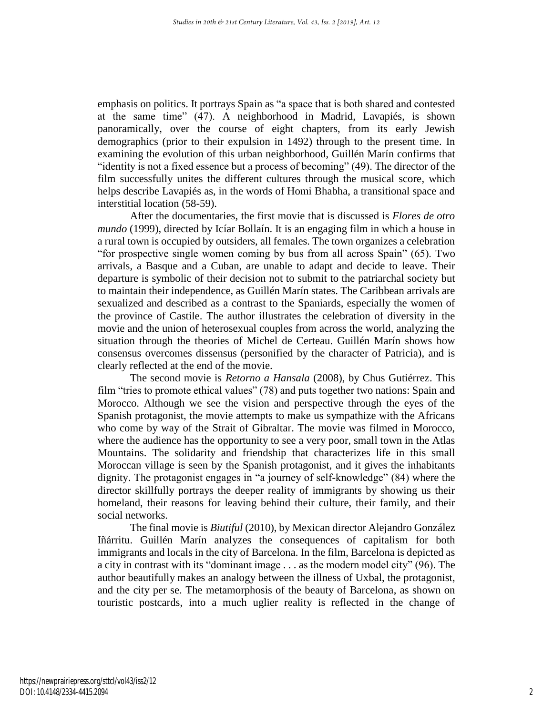emphasis on politics. It portrays Spain as "a space that is both shared and contested at the same time" (47). A neighborhood in Madrid, Lavapiés, is shown panoramically, over the course of eight chapters, from its early Jewish demographics (prior to their expulsion in 1492) through to the present time. In examining the evolution of this urban neighborhood, Guillén Marín confirms that "identity is not a fixed essence but a process of becoming" (49). The director of the film successfully unites the different cultures through the musical score, which helps describe Lavapiés as, in the words of Homi Bhabha, a transitional space and interstitial location (58-59).

After the documentaries, the first movie that is discussed is *Flores de otro mundo* (1999), directed by Icíar Bollaín. It is an engaging film in which a house in a rural town is occupied by outsiders, all females. The town organizes a celebration "for prospective single women coming by bus from all across Spain" (65). Two arrivals, a Basque and a Cuban, are unable to adapt and decide to leave. Their departure is symbolic of their decision not to submit to the patriarchal society but to maintain their independence, as Guillén Marín states. The Caribbean arrivals are sexualized and described as a contrast to the Spaniards, especially the women of the province of Castile. The author illustrates the celebration of diversity in the movie and the union of heterosexual couples from across the world, analyzing the situation through the theories of Michel de Certeau. Guillén Marín shows how consensus overcomes dissensus (personified by the character of Patricia), and is clearly reflected at the end of the movie.

The second movie is *Retorno a Hansala* (2008), by Chus Gutiérrez. This film "tries to promote ethical values" (78) and puts together two nations: Spain and Morocco. Although we see the vision and perspective through the eyes of the Spanish protagonist, the movie attempts to make us sympathize with the Africans who come by way of the Strait of Gibraltar. The movie was filmed in Morocco, where the audience has the opportunity to see a very poor, small town in the Atlas Mountains. The solidarity and friendship that characterizes life in this small Moroccan village is seen by the Spanish protagonist, and it gives the inhabitants dignity. The protagonist engages in "a journey of self-knowledge" (84) where the director skillfully portrays the deeper reality of immigrants by showing us their homeland, their reasons for leaving behind their culture, their family, and their social networks.

The final movie is *Biutiful* (2010), by Mexican director Alejandro González Iñárritu. Guillén Marín analyzes the consequences of capitalism for both immigrants and locals in the city of Barcelona. In the film, Barcelona is depicted as a city in contrast with its "dominant image . . . as the modern model city" (96). The author beautifully makes an analogy between the illness of Uxbal, the protagonist, and the city per se. The metamorphosis of the beauty of Barcelona, as shown on touristic postcards, into a much uglier reality is reflected in the change of